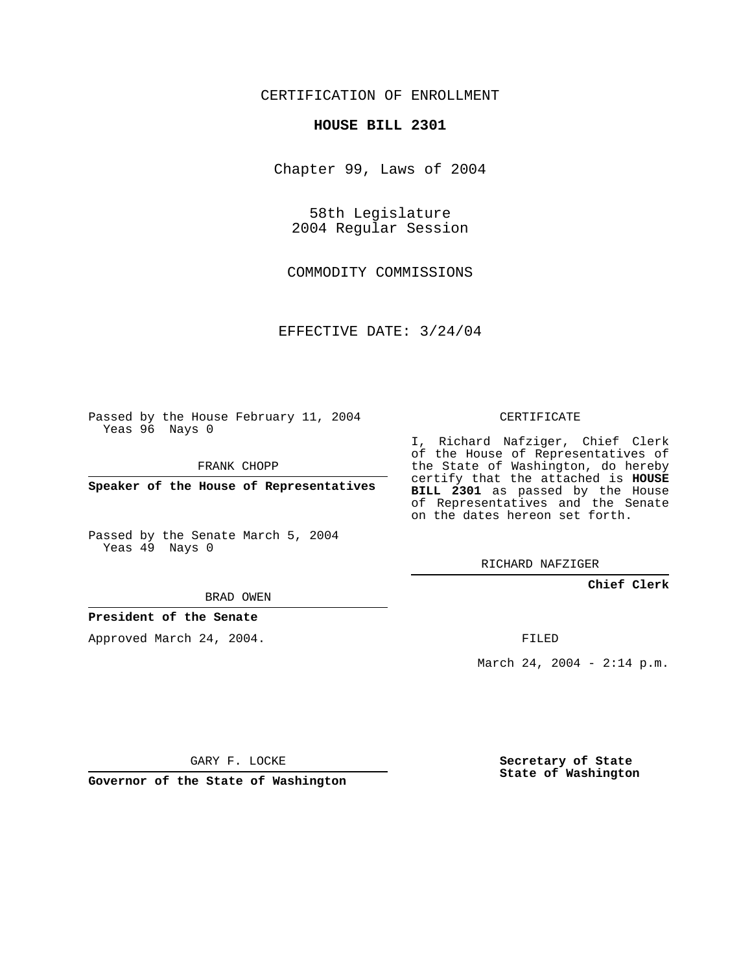## CERTIFICATION OF ENROLLMENT

#### **HOUSE BILL 2301**

Chapter 99, Laws of 2004

58th Legislature 2004 Regular Session

COMMODITY COMMISSIONS

EFFECTIVE DATE: 3/24/04

Passed by the House February 11, 2004 Yeas 96 Nays 0

FRANK CHOPP

**Speaker of the House of Representatives**

Passed by the Senate March 5, 2004 Yeas 49 Nays 0

BRAD OWEN

## **President of the Senate**

Approved March 24, 2004.

CERTIFICATE

I, Richard Nafziger, Chief Clerk of the House of Representatives of the State of Washington, do hereby certify that the attached is **HOUSE BILL 2301** as passed by the House of Representatives and the Senate on the dates hereon set forth.

RICHARD NAFZIGER

**Chief Clerk**

FILED

March 24, 2004 - 2:14 p.m.

GARY F. LOCKE

**Governor of the State of Washington**

**Secretary of State State of Washington**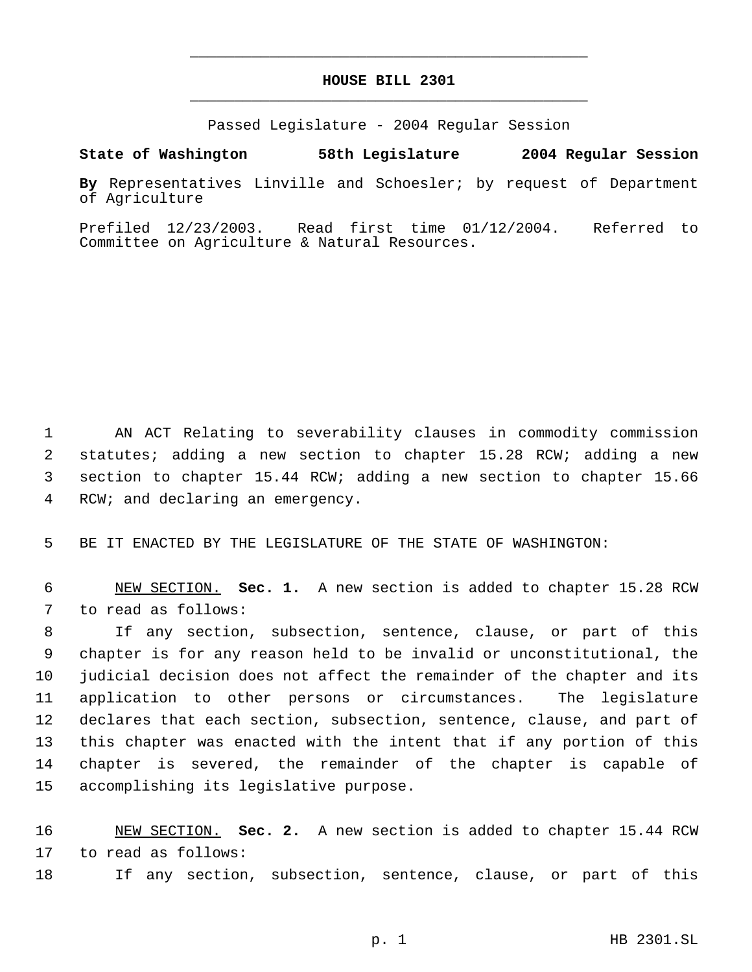# **HOUSE BILL 2301** \_\_\_\_\_\_\_\_\_\_\_\_\_\_\_\_\_\_\_\_\_\_\_\_\_\_\_\_\_\_\_\_\_\_\_\_\_\_\_\_\_\_\_\_\_

\_\_\_\_\_\_\_\_\_\_\_\_\_\_\_\_\_\_\_\_\_\_\_\_\_\_\_\_\_\_\_\_\_\_\_\_\_\_\_\_\_\_\_\_\_

Passed Legislature - 2004 Regular Session

## **State of Washington 58th Legislature 2004 Regular Session**

**By** Representatives Linville and Schoesler; by request of Department of Agriculture

Prefiled 12/23/2003. Read first time 01/12/2004. Referred to Committee on Agriculture & Natural Resources.

 AN ACT Relating to severability clauses in commodity commission statutes; adding a new section to chapter 15.28 RCW; adding a new section to chapter 15.44 RCW; adding a new section to chapter 15.66 RCW; and declaring an emergency.

BE IT ENACTED BY THE LEGISLATURE OF THE STATE OF WASHINGTON:

 NEW SECTION. **Sec. 1.** A new section is added to chapter 15.28 RCW to read as follows:

 If any section, subsection, sentence, clause, or part of this chapter is for any reason held to be invalid or unconstitutional, the judicial decision does not affect the remainder of the chapter and its application to other persons or circumstances. The legislature declares that each section, subsection, sentence, clause, and part of this chapter was enacted with the intent that if any portion of this chapter is severed, the remainder of the chapter is capable of accomplishing its legislative purpose.

 NEW SECTION. **Sec. 2.** A new section is added to chapter 15.44 RCW to read as follows:

If any section, subsection, sentence, clause, or part of this